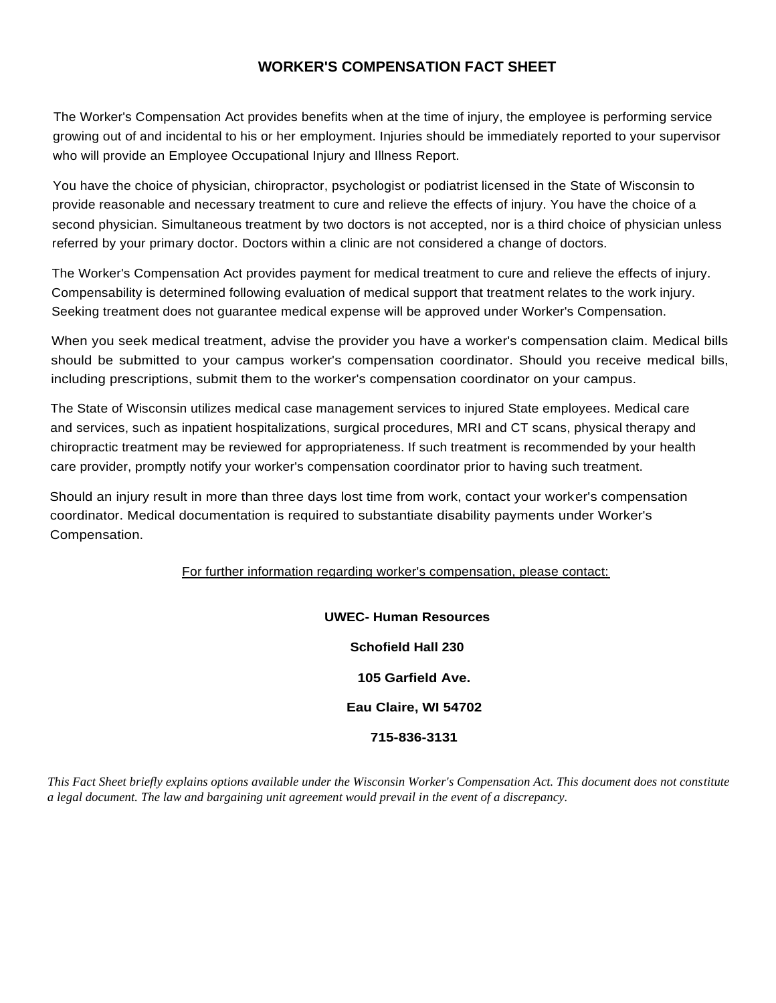## **WORKER'S COMPENSATION FACT SHEET**

The Worker's Compensation Act provides benefits when at the time of injury, the employee is performing service growing out of and incidental to his or her employment. Injuries should be immediately reported to your supervisor who will provide an Employee Occupational Injury and Illness Report.

You have the choice of physician, chiropractor, psychologist or podiatrist licensed in the State of Wisconsin to provide reasonable and necessary treatment to cure and relieve the effects of injury. You have the choice of a second physician. Simultaneous treatment by two doctors is not accepted, nor is a third choice of physician unless referred by your primary doctor. Doctors within a clinic are not considered a change of doctors.

The Worker's Compensation Act provides payment for medical treatment to cure and relieve the effects of injury. Compensability is determined following evaluation of medical support that treatment relates to the work injury. Seeking treatment does not guarantee medical expense will be approved under Worker's Compensation.

When you seek medical treatment, advise the provider you have a worker's compensation claim. Medical bills should be submitted to your campus worker's compensation coordinator. Should you receive medical bills, including prescriptions, submit them to the worker's compensation coordinator on your campus.

The State of Wisconsin utilizes medical case management services to injured State employees. Medical care and services, such as inpatient hospitalizations, surgical procedures, MRI and CT scans, physical therapy and chiropractic treatment may be reviewed for appropriateness. If such treatment is recommended by your health care provider, promptly notify your worker's compensation coordinator prior to having such treatment.

Should an injury result in more than three days lost time from work, contact your worker's compensation coordinator. Medical documentation is required to substantiate disability payments under Worker's Compensation.

For further information regarding worker's compensation, please contact:

**UWEC- Human Resources Schofield Hall 230 105 Garfield Ave. Eau Claire, WI 54702 715-836-3131**

*This Fact Sheet briefly explains options available under the Wisconsin Worker's Compensation Act. This document does not constitute a legal document. The law and bargaining unit agreement would prevail in the event of a discrepancy.*